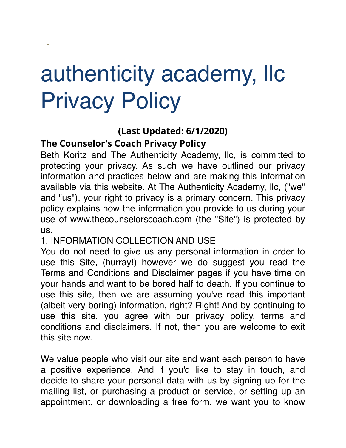# authenticity academy, llc Privacy Policy

## **(Last Updated: 6/1/2020)**

## **The Counselor's Coach Privacy Policy**

**•**

Beth Koritz and The Authenticity Academy, llc, is committed to protecting your privacy. As such we have outlined our privacy information and practices below and are making this information available via this website. At The Authenticity Academy, llc, ("we" and "us"), your right to privacy is a primary concern. This privacy policy explains how the information you provide to us during your use of www.thecounselorscoach.com (the "Site") is protected by us.

#### 1. INFORMATION COLLECTION AND USE

You do not need to give us any personal information in order to use this Site, (hurray!) however we do suggest you read the [Terms and Conditions](http://www.thecounselorscoach.com/terms-conditions) and [Disclaimer](http://www.thecounselorscoach.com/disclaimer) pages if you have time on your hands and want to be bored half to death. If you continue to use this site, then we are assuming you've read this important (albeit very boring) information, right? Right! And by continuing to use this site, you agree with our privacy policy, terms and conditions and disclaimers. If not, then you are welcome to exit this site now.

We value people who visit our site and want each person to have a positive experience. And if you'd like to stay in touch, and decide to share your personal data with us by signing up for the mailing list, or purchasing a product or service, or setting up an appointment, or downloading a free form, we want you to know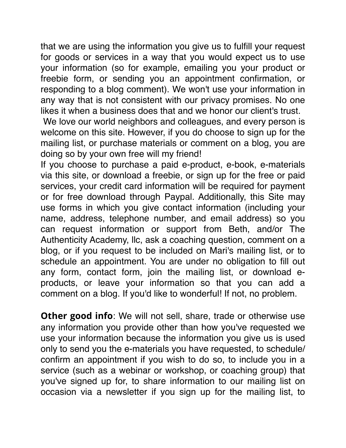that we are using the information you give us to fulfill your request for goods or services in a way that you would expect us to use your information (so for example, emailing you your product or freebie form, or sending you an appointment confirmation, or responding to a blog comment). We won't use your information in any way that is not consistent with our privacy promises. No one likes it when a business does that and we honor our client's trust.

We love our world neighbors and colleagues, and every person is welcome on this site. However, if you do choose to sign up for the mailing list, or purchase materials or comment on a blog, you are doing so by your own free will my friend!

If you choose to purchase a paid e-product, e-book, e-materials via this site, or download a freebie, or sign up for the free or paid services, your credit card information will be required for payment or for free download through Paypal. Additionally, this Site may use forms in which you give contact information (including your name, address, telephone number, and email address) so you can request information or support from Beth, and/or The Authenticity Academy, llc, ask a coaching question, comment on a blog, or if you request to be included on Mari's mailing list, or to schedule an appointment. You are under no obligation to fill out any form, contact form, join the mailing list, or download eproducts, or leave your information so that you can add a comment on a blog. If you'd like to wonderful! If not, no problem.

**Other good info**: We will not sell, share, trade or otherwise use any information you provide other than how you've requested we use your information because the information you give us is used only to send you the e-materials you have requested, to schedule/ confirm an appointment if you wish to do so, to include you in a service (such as a webinar or workshop, or coaching group) that you've signed up for, to share information to our mailing list on occasion via a newsletter if you sign up for the mailing list, to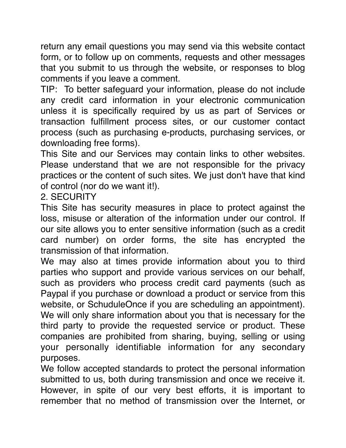return any email questions you may send via this website contact form, or to follow up on comments, requests and other messages that you submit to us through the website, or responses to blog comments if you leave a comment.

TIP: To better safeguard your information, please do not include any credit card information in your electronic communication unless it is specifically required by us as part of Services or transaction fulfillment process sites, or our customer contact process (such as purchasing e-products, purchasing services, or downloading free forms).

This Site and our Services may contain links to other websites. Please understand that we are not responsible for the privacy practices or the content of such sites. We just don't have that kind of control (nor do we want it!).

#### 2. SECURITY

This Site has security measures in place to protect against the loss, misuse or alteration of the information under our control. If our site allows you to enter sensitive information (such as a credit card number) on order forms, the site has encrypted the transmission of that information.

We may also at times provide information about you to third parties who support and provide various services on our behalf, such as providers who process credit card payments (such as Paypal if you purchase or download a product or service from this website, or SchuduleOnce if you are scheduling an appointment). We will only share information about you that is necessary for the third party to provide the requested service or product. These companies are prohibited from sharing, buying, selling or using your personally identifiable information for any secondary purposes.

We follow accepted standards to protect the personal information submitted to us, both during transmission and once we receive it. However, in spite of our very best efforts, it is important to remember that no method of transmission over the Internet, or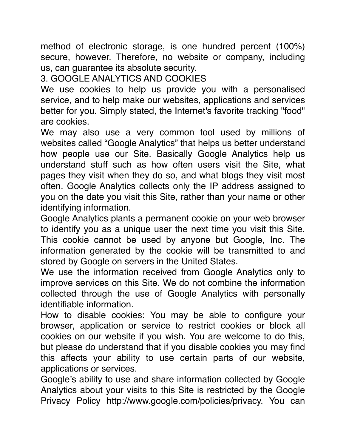method of electronic storage, is one hundred percent (100%) secure, however. Therefore, no website or company, including us, can guarantee its absolute security.

### 3. GOOGLE ANALYTICS AND COOKIES

We use cookies to help us provide you with a personalised service, and to help make our websites, applications and services better for you. Simply stated, the Internet's favorite tracking "food" are cookies.

We may also use a very common tool used by millions of websites called "Google Analytics" that helps us better understand how people use our Site. Basically Google Analytics help us understand stuff such as how often users visit the Site, what pages they visit when they do so, and what blogs they visit most often. Google Analytics collects only the IP address assigned to you on the date you visit this Site, rather than your name or other identifying information.

Google Analytics plants a permanent cookie on your web browser to identify you as a unique user the next time you visit this Site. This cookie cannot be used by anyone but Google, Inc. The information generated by the cookie will be transmitted to and stored by Google on servers in the United States.

We use the information received from Google Analytics only to improve services on this Site. We do not combine the information collected through the use of Google Analytics with personally identifiable information.

How to disable cookies: You may be able to configure your browser, application or service to restrict cookies or block all cookies on our website if you wish. You are welcome to do this, but please do understand that if you disable cookies you may find this affects your ability to use certain parts of our website, applications or services.

Google's ability to use and share information collected by Google Analytics about your visits to this Site is restricted by the Google Privacy Policy http://www.google.com/policies/privacy. You can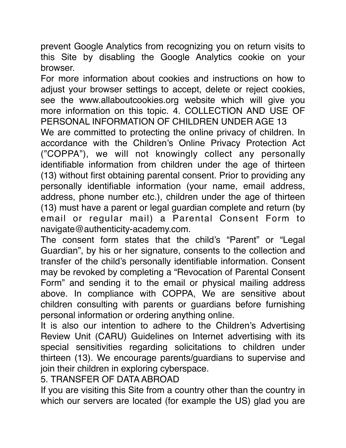prevent Google Analytics from recognizing you on return visits to this Site by disabling the Google Analytics cookie on your browser.

For more information about cookies and instructions on how to adjust your browser settings to accept, delete or reject cookies, see the [www.allaboutcookies.org](http://allaboutcookies.org/) website which will give you more information on this topic. 4. COLLECTION AND USE OF PERSONAL INFORMATION OF CHILDREN UNDER AGE 13

We are committed to protecting the online privacy of children. In accordance with the Children's Online Privacy Protection Act ("COPPA"), we will not knowingly collect any personally identifiable information from children under the age of thirteen (13) without first obtaining parental consent. Prior to providing any personally identifiable information (your name, email address, address, phone number etc.), children under the age of thirteen (13) must have a parent or legal guardian complete and return (by email or regular mail) a Parental Consent Form to navigate@authenticity-academy.com.

The consent form states that the child's "Parent" or "Legal Guardian", by his or her signature, consents to the collection and transfer of the child's personally identifiable information. Consent may be revoked by completing a "Revocation of Parental Consent Form" and sending it to the email or physical mailing address above. In compliance with COPPA, We are sensitive about children consulting with parents or guardians before furnishing personal information or ordering anything online.

It is also our intention to adhere to the Children's Advertising Review Unit (CARU) Guidelines on Internet advertising with its special sensitivities regarding solicitations to children under thirteen (13). We encourage parents/guardians to supervise and join their children in exploring cyberspace.

5. TRANSFER OF DATA ABROAD

If you are visiting this Site from a country other than the country in which our servers are located (for example the US) glad you are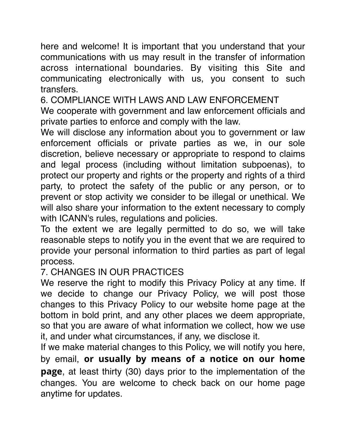here and welcome! It is important that you understand that your communications with us may result in the transfer of information across international boundaries. By visiting this Site and communicating electronically with us, you consent to such transfers.

6. COMPLIANCE WITH LAWS AND LAW ENFORCEMENT

We cooperate with government and law enforcement officials and private parties to enforce and comply with the law.

We will disclose any information about you to government or law enforcement officials or private parties as we, in our sole discretion, believe necessary or appropriate to respond to claims and legal process (including without limitation subpoenas), to protect our property and rights or the property and rights of a third party, to protect the safety of the public or any person, or to prevent or stop activity we consider to be illegal or unethical. We will also share your information to the extent necessary to comply with ICANN's rules, regulations and policies.

To the extent we are legally permitted to do so, we will take reasonable steps to notify you in the event that we are required to provide your personal information to third parties as part of legal process.

7. CHANGES IN OUR PRACTICES

We reserve the right to modify this Privacy Policy at any time. If we decide to change our Privacy Policy, we will post those changes to this Privacy Policy to our website home page at the bottom in bold print, and any other places we deem appropriate, so that you are aware of what information we collect, how we use it, and under what circumstances, if any, we disclose it.

If we make material changes to this Policy, we will notify you here, by email, **or usually by means of a notice on our home page**, at least thirty (30) days prior to the implementation of the changes. You are welcome to check back on our home page anytime for updates.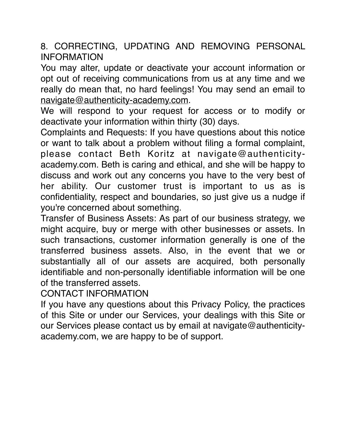8. CORRECTING, UPDATING AND REMOVING PERSONAL INFORMATION

You may alter, update or deactivate your account information or opt out of receiving communications from us at any time and we really do mean that, no hard feelings! You may send an email to [navigate@authenticity-academy.com](mailto:navigate@authenticity-academy.com).

We will respond to your request for access or to modify or deactivate your information within thirty (30) days.

Complaints and Requests: If you have questions about this notice or want to talk about a problem without filing a formal complaint, please contact Beth Koritz at navigate@authenticityacademy.com. Beth is caring and ethical, and she will be happy to discuss and work out any concerns you have to the very best of her ability. Our customer trust is important to us as is confidentiality, respect and boundaries, so just give us a nudge if you're concerned about something.

Transfer of Business Assets: As part of our business strategy, we might acquire, buy or merge with other businesses or assets. In such transactions, customer information generally is one of the transferred business assets. Also, in the event that we or substantially all of our assets are acquired, both personally identifiable and non-personally identifiable information will be one of the transferred assets.

CONTACT INFORMATION

If you have any questions about this Privacy Policy, the practices of this Site or under our Services, your dealings with this Site or our Services please contact us by email at navigate@authenticityacademy.com, we are happy to be of support.